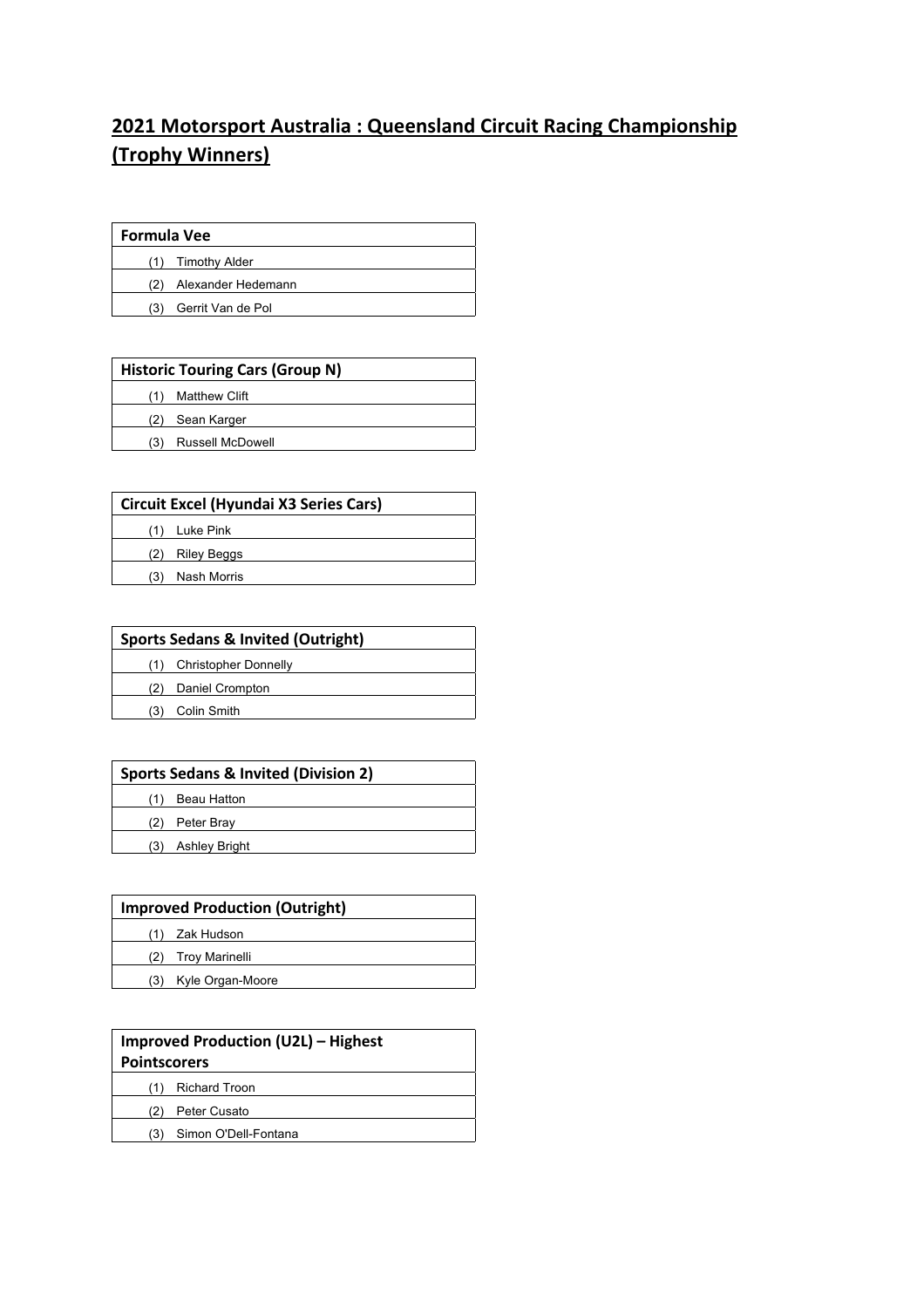## **2021 Motorsport Australia : Queensland Circuit Racing Championship (Trophy Winners)**

| <b>Formula Vee</b> |                    |
|--------------------|--------------------|
| (1)                | Timothy Alder      |
| (2)                | Alexander Hedemann |
| (3)                | Gerrit Van de Pol  |

| <b>Historic Touring Cars (Group N)</b> |                         |
|----------------------------------------|-------------------------|
|                                        | <b>Matthew Clift</b>    |
| (2)                                    | Sean Karger             |
| (3                                     | <b>Russell McDowell</b> |

| <b>Circuit Excel (Hyundai X3 Series Cars)</b> |                    |
|-----------------------------------------------|--------------------|
|                                               | Luke Pink          |
| (2)                                           | <b>Riley Beggs</b> |
| (3)                                           | Nash Morris        |
|                                               |                    |

| <b>Sports Sedans &amp; Invited (Outright)</b> |                             |
|-----------------------------------------------|-----------------------------|
|                                               | <b>Christopher Donnelly</b> |
|                                               | Daniel Crompton             |
|                                               | Colin Smith                 |

| <b>Sports Sedans &amp; Invited (Division 2)</b> |                      |
|-------------------------------------------------|----------------------|
|                                                 | <b>Beau Hatton</b>   |
| (2)                                             | Peter Bray           |
| (3)                                             | <b>Ashley Bright</b> |

| <b>Improved Production (Outright)</b> |                      |
|---------------------------------------|----------------------|
|                                       | Zak Hudson           |
|                                       | Troy Marinelli       |
|                                       | (3) Kyle Organ-Moore |

| <b>Improved Production (U2L) - Highest</b><br><b>Pointscorers</b> |                      |
|-------------------------------------------------------------------|----------------------|
|                                                                   | <b>Richard Troon</b> |
| (2)                                                               | Peter Cusato         |
| (3)                                                               | Simon O'Dell-Fontana |